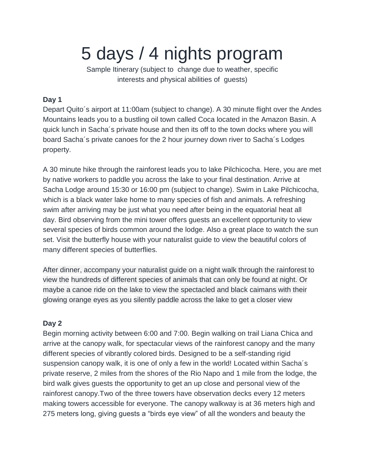# 5 days / 4 nights program

Sample Itinerary (subject to change due to weather, specific interests and physical abilities of guests)

### **Day 1**

Depart Quito´s airport at 11:00am (subject to change). A 30 minute flight over the Andes Mountains leads you to a bustling oil town called Coca located in the Amazon Basin. A quick lunch in Sacha´s private house and then its off to the town docks where you will board Sacha´s private canoes for the 2 hour journey down river to Sacha´s Lodges property.

A 30 minute hike through the rainforest leads you to lake Pilchicocha. Here, you are met by native workers to paddle you across the lake to your final destination. Arrive at Sacha Lodge around 15:30 or 16:00 pm (subject to change). Swim in Lake Pilchicocha, which is a black water lake home to many species of fish and animals. A refreshing swim after arriving may be just what you need after being in the equatorial heat all day. Bird observing from the mini tower offers guests an excellent opportunity to view several species of birds common around the lodge. Also a great place to watch the sun set. Visit the butterfly house with your naturalist guide to view the beautiful colors of many different species of butterflies.

After dinner, accompany your naturalist guide on a night walk through the rainforest to view the hundreds of different species of animals that can only be found at night. Or maybe a canoe ride on the lake to view the spectacled and black caimans with their glowing orange eyes as you silently paddle across the lake to get a closer view

## **Day 2**

Begin morning activity between 6:00 and 7:00. Begin walking on trail Liana Chica and arrive at the canopy walk, for spectacular views of the rainforest canopy and the many different species of vibrantly colored birds. Designed to be a self-standing rigid suspension canopy walk, it is one of only a few in the world! Located within Sacha´s private reserve, 2 miles from the shores of the Rio Napo and 1 mile from the lodge, the bird walk gives guests the opportunity to get an up close and personal view of the rainforest canopy.Two of the three towers have observation decks every 12 meters making towers accessible for everyone. The canopy walkway is at 36 meters high and 275 meters long, giving guests a "birds eye view" of all the wonders and beauty the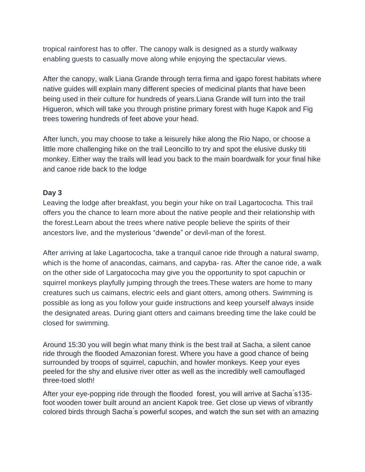tropical rainforest has to offer. The canopy walk is designed as a sturdy walkway enabling guests to casually move along while enjoying the spectacular views.

After the canopy, walk Liana Grande through terra firma and igapo forest habitats where native guides will explain many different species of medicinal plants that have been being used in their culture for hundreds of years.Liana Grande will turn into the trail Higueron, which will take you through pristine primary forest with huge Kapok and Fig trees towering hundreds of feet above your head.

After lunch, you may choose to take a leisurely hike along the Rio Napo, or choose a little more challenging hike on the trail Leoncillo to try and spot the elusive dusky titi monkey. Either way the trails will lead you back to the main boardwalk for your final hike and canoe ride back to the lodge

#### **Day 3**

Leaving the lodge after breakfast, you begin your hike on trail Lagartococha. This trail offers you the chance to learn more about the native people and their relationship with the forest.Learn about the trees where native people believe the spirits of their ancestors live, and the mysterious "dwende" or devil-man of the forest.

After arriving at lake Lagartococha, take a tranquil canoe ride through a natural swamp, which is the home of anacondas, caimans, and capyba- ras. After the canoe ride, a walk on the other side of Largatococha may give you the opportunity to spot capuchin or squirrel monkeys playfully jumping through the trees.These waters are home to many creatures such us caimans, electric eels and giant otters, among others. Swimming is possible as long as you follow your guide instructions and keep yourself always inside the designated areas. During giant otters and caimans breeding time the lake could be closed for swimming.

Around 15:30 you will begin what many think is the best trail at Sacha, a silent canoe ride through the flooded Amazonian forest. Where you have a good chance of being surrounded by troops of squirrel, capuchin, and howler monkeys. Keep your eyes peeled for the shy and elusive river otter as well as the incredibly well camouflaged three-toed sloth!

After your eye-popping ride through the flooded forest, you will arrive at Sacha ́s135 foot wooden tower built around an ancient Kapok tree. Get close up views of vibrantly colored birds through Sacha ́s powerful scopes, and watch the sun set with an amazing